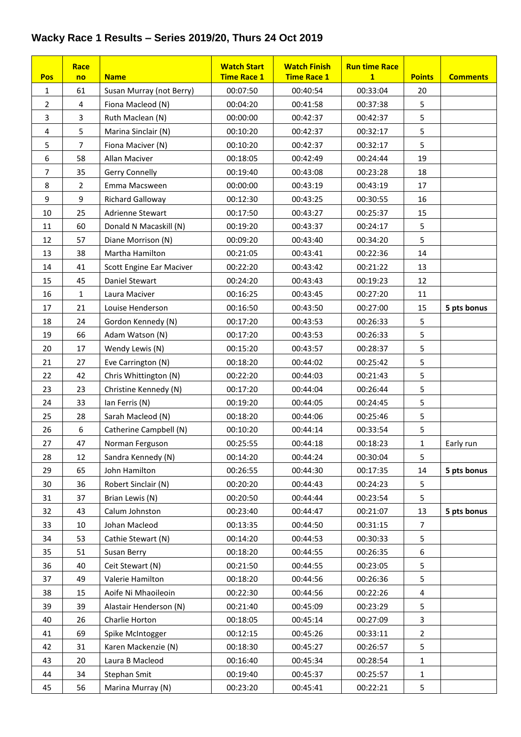## **Wacky Race 1 Results – Series 2019/20, Thurs 24 Oct 2019**

|                         | Race           |                          | <b>Watch Start</b> | <b>Watch Finish</b> | <b>Run time Race</b> |                  |                 |
|-------------------------|----------------|--------------------------|--------------------|---------------------|----------------------|------------------|-----------------|
| <b>Pos</b>              | no             | <b>Name</b>              | <b>Time Race 1</b> | <b>Time Race 1</b>  | $\mathbf{1}$         | <b>Points</b>    | <b>Comments</b> |
| $\mathbf{1}$            | 61             | Susan Murray (not Berry) | 00:07:50           | 00:40:54            | 00:33:04             | 20               |                 |
| $\overline{2}$          | 4              | Fiona Macleod (N)        | 00:04:20           | 00:41:58            | 00:37:38             | 5                |                 |
| 3                       | 3              | Ruth Maclean (N)         | 00:00:00           | 00:42:37            | 00:42:37             | 5                |                 |
| $\overline{\mathbf{4}}$ | 5              | Marina Sinclair (N)      | 00:10:20           | 00:42:37            | 00:32:17             | 5                |                 |
| 5                       | $\overline{7}$ | Fiona Maciver (N)        | 00:10:20           | 00:42:37            | 00:32:17             | 5                |                 |
| 6                       | 58             | Allan Maciver            | 00:18:05           | 00:42:49            | 00:24:44             | 19               |                 |
| $\overline{7}$          | 35             | Gerry Connelly           | 00:19:40           | 00:43:08            | 00:23:28             | 18               |                 |
| 8                       | $\overline{2}$ | Emma Macsween            | 00:00:00           | 00:43:19            | 00:43:19             | 17               |                 |
| 9                       | 9              | <b>Richard Galloway</b>  | 00:12:30           | 00:43:25            | 00:30:55             | 16               |                 |
| 10                      | 25             | Adrienne Stewart         | 00:17:50           | 00:43:27            | 00:25:37             | 15               |                 |
| 11                      | 60             | Donald N Macaskill (N)   | 00:19:20           | 00:43:37            | 00:24:17             | 5                |                 |
| 12                      | 57             | Diane Morrison (N)       | 00:09:20           | 00:43:40            | 00:34:20             | 5                |                 |
| 13                      | 38             | Martha Hamilton          | 00:21:05           | 00:43:41            | 00:22:36             | 14               |                 |
| 14                      | 41             | Scott Engine Ear Maciver | 00:22:20           | 00:43:42            | 00:21:22             | 13               |                 |
| 15                      | 45             | Daniel Stewart           | 00:24:20           | 00:43:43            | 00:19:23             | 12               |                 |
| 16                      | $\mathbf{1}$   | Laura Maciver            | 00:16:25           | 00:43:45            | 00:27:20             | 11               |                 |
| 17                      | 21             | Louise Henderson         | 00:16:50           | 00:43:50            | 00:27:00             | 15               | 5 pts bonus     |
| 18                      | 24             | Gordon Kennedy (N)       | 00:17:20           | 00:43:53            | 00:26:33             | 5                |                 |
| 19                      | 66             | Adam Watson (N)          | 00:17:20           | 00:43:53            | 00:26:33             | 5                |                 |
| 20                      | 17             | Wendy Lewis (N)          | 00:15:20           | 00:43:57            | 00:28:37             | 5                |                 |
| 21                      | 27             | Eve Carrington (N)       | 00:18:20           | 00:44:02            | 00:25:42             | 5                |                 |
| 22                      | 42             | Chris Whittington (N)    | 00:22:20           | 00:44:03            | 00:21:43             | 5                |                 |
| 23                      | 23             | Christine Kennedy (N)    | 00:17:20           | 00:44:04            | 00:26:44             | 5                |                 |
| 24                      | 33             | Ian Ferris (N)           | 00:19:20           | 00:44:05            | 00:24:45             | 5                |                 |
| 25                      | 28             | Sarah Macleod (N)        | 00:18:20           | 00:44:06            | 00:25:46             | 5                |                 |
| 26                      | 6              | Catherine Campbell (N)   | 00:10:20           | 00:44:14            | 00:33:54             | 5                |                 |
| 27                      | 47             | Norman Ferguson          | 00:25:55           | 00:44:18            | 00:18:23             | $\mathbf{1}$     | Early run       |
| 28                      | 12             | Sandra Kennedy (N)       | 00:14:20           | 00:44:24            | 00:30:04             | 5                |                 |
| 29                      | 65             | John Hamilton            | 00:26:55           | 00:44:30            | 00:17:35             | 14               | 5 pts bonus     |
| 30                      | 36             | Robert Sinclair (N)      | 00:20:20           | 00:44:43            | 00:24:23             | 5                |                 |
| 31                      | 37             | Brian Lewis (N)          | 00:20:50           | 00:44:44            | 00:23:54             | 5                |                 |
| 32                      | 43             | Calum Johnston           | 00:23:40           | 00:44:47            | 00:21:07             | 13               | 5 pts bonus     |
| 33                      | 10             | Johan Macleod            | 00:13:35           | 00:44:50            | 00:31:15             | $\overline{7}$   |                 |
| 34                      | 53             | Cathie Stewart (N)       | 00:14:20           | 00:44:53            | 00:30:33             | 5                |                 |
| 35                      | 51             | Susan Berry              | 00:18:20           | 00:44:55            | 00:26:35             | $\boldsymbol{6}$ |                 |
| 36                      | 40             | Ceit Stewart (N)         | 00:21:50           | 00:44:55            | 00:23:05             | 5                |                 |
| 37                      | 49             | Valerie Hamilton         | 00:18:20           | 00:44:56            | 00:26:36             | 5                |                 |
| 38                      | 15             | Aoife Ni Mhaoileoin      | 00:22:30           | 00:44:56            | 00:22:26             | 4                |                 |
| 39                      | 39             | Alastair Henderson (N)   | 00:21:40           | 00:45:09            | 00:23:29             | 5                |                 |
| 40                      | 26             | Charlie Horton           | 00:18:05           | 00:45:14            | 00:27:09             | $\mathbf{3}$     |                 |
| 41                      | 69             | Spike McIntogger         | 00:12:15           | 00:45:26            | 00:33:11             | $\overline{2}$   |                 |
| 42                      | 31             | Karen Mackenzie (N)      | 00:18:30           | 00:45:27            | 00:26:57             | 5                |                 |
| 43                      | 20             | Laura B Macleod          | 00:16:40           | 00:45:34            | 00:28:54             | $\mathbf{1}$     |                 |
| 44                      | 34             | Stephan Smit             | 00:19:40           | 00:45:37            | 00:25:57             | $\mathbf{1}$     |                 |
| 45                      | 56             | Marina Murray (N)        | 00:23:20           | 00:45:41            | 00:22:21             | 5                |                 |